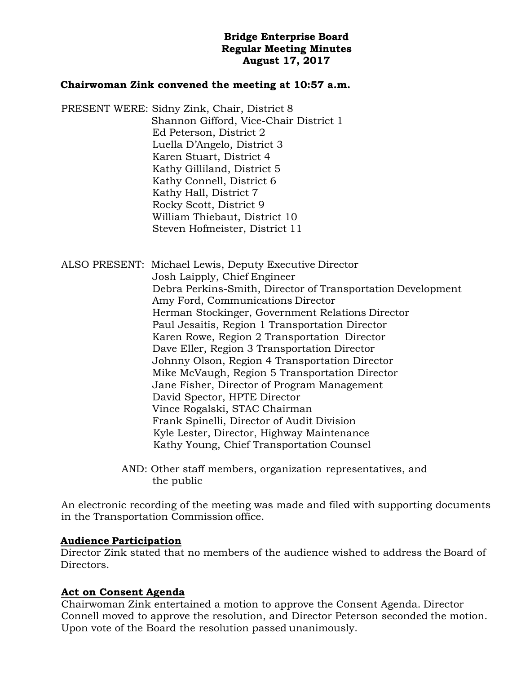# **Bridge Enterprise Board Regular Meeting Minutes August 17, 2017**

## **Chairwoman Zink convened the meeting at 10:57 a.m.**

PRESENT WERE: Sidny Zink, Chair, District 8 Shannon Gifford, Vice-Chair District 1 Ed Peterson, District 2 Luella D'Angelo, District 3 Karen Stuart, District 4 Kathy Gilliland, District 5 Kathy Connell, District 6 Kathy Hall, District 7 Rocky Scott, District 9 William Thiebaut, District 10 Steven Hofmeister, District 11

ALSO PRESENT: Michael Lewis, Deputy Executive Director Josh Laipply, Chief Engineer Debra Perkins-Smith, Director of Transportation Development Amy Ford, Communications Director Herman Stockinger, Government Relations Director Paul Jesaitis, Region 1 Transportation Director Karen Rowe, Region 2 Transportation Director Dave Eller, Region 3 Transportation Director Johnny Olson, Region 4 Transportation Director Mike McVaugh, Region 5 Transportation Director Jane Fisher, Director of Program Management David Spector, HPTE Director Vince Rogalski, STAC Chairman Frank Spinelli, Director of Audit Division Kyle Lester, Director, Highway Maintenance Kathy Young, Chief Transportation Counsel

> AND: Other staff members, organization representatives, and the public

An electronic recording of the meeting was made and filed with supporting documents in the Transportation Commission office.

#### **Audience Participation**

Director Zink stated that no members of the audience wished to address the Board of Directors.

# **Act on Consent Agenda**

Chairwoman Zink entertained a motion to approve the Consent Agenda. Director Connell moved to approve the resolution, and Director Peterson seconded the motion. Upon vote of the Board the resolution passed unanimously.